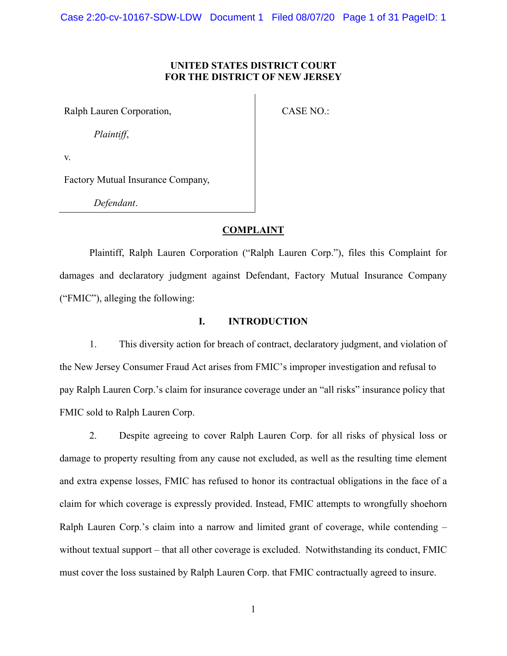## **UNITED STATES DISTRICT COURT FOR THE DISTRICT OF NEW JERSEY**

Ralph Lauren Corporation,

CASE NO.:

*Plaintiff*,

v.

Factory Mutual Insurance Company,

*Defendant*.

### **COMPLAINT**

Plaintiff, Ralph Lauren Corporation ("Ralph Lauren Corp."), files this Complaint for damages and declaratory judgment against Defendant, Factory Mutual Insurance Company ("FMIC"), alleging the following:

# **I. INTRODUCTION**

1. This diversity action for breach of contract, declaratory judgment, and violation of the New Jersey Consumer Fraud Act arises from FMIC's improper investigation and refusal to pay Ralph Lauren Corp.'s claim for insurance coverage under an "all risks" insurance policy that FMIC sold to Ralph Lauren Corp.

2. Despite agreeing to cover Ralph Lauren Corp. for all risks of physical loss or damage to property resulting from any cause not excluded, as well as the resulting time element and extra expense losses, FMIC has refused to honor its contractual obligations in the face of a claim for which coverage is expressly provided. Instead, FMIC attempts to wrongfully shoehorn Ralph Lauren Corp.'s claim into a narrow and limited grant of coverage, while contending – without textual support – that all other coverage is excluded. Notwithstanding its conduct, FMIC must cover the loss sustained by Ralph Lauren Corp. that FMIC contractually agreed to insure.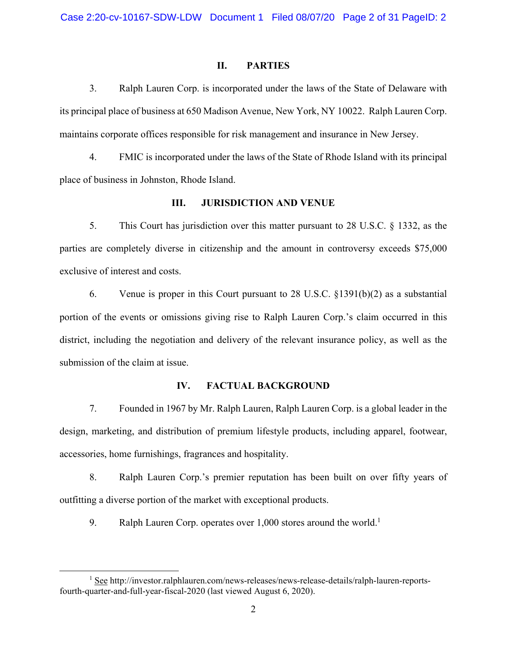### **II. PARTIES**

3. Ralph Lauren Corp. is incorporated under the laws of the State of Delaware with its principal place of business at 650 Madison Avenue, New York, NY 10022. Ralph Lauren Corp. maintains corporate offices responsible for risk management and insurance in New Jersey.

4. FMIC is incorporated under the laws of the State of Rhode Island with its principal place of business in Johnston, Rhode Island.

### **III. JURISDICTION AND VENUE**

5. This Court has jurisdiction over this matter pursuant to 28 U.S.C. § 1332, as the parties are completely diverse in citizenship and the amount in controversy exceeds \$75,000 exclusive of interest and costs.

6. Venue is proper in this Court pursuant to 28 U.S.C. §1391(b)(2) as a substantial portion of the events or omissions giving rise to Ralph Lauren Corp.'s claim occurred in this district, including the negotiation and delivery of the relevant insurance policy, as well as the submission of the claim at issue.

### **IV. FACTUAL BACKGROUND**

7. Founded in 1967 by Mr. Ralph Lauren, Ralph Lauren Corp. is a global leader in the design, marketing, and distribution of premium lifestyle products, including apparel, footwear, accessories, home furnishings, fragrances and hospitality.

8. Ralph Lauren Corp.'s premier reputation has been built on over fifty years of outfitting a diverse portion of the market with exceptional products.

9. Ralph Lauren Corp. operates over  $1,000$  stores around the world.<sup>1</sup>

<sup>&</sup>lt;u>1</u> <sup>1</sup> See http://investor.ralphlauren.com/news-releases/news-release-details/ralph-lauren-reportsfourth-quarter-and-full-year-fiscal-2020 (last viewed August 6, 2020).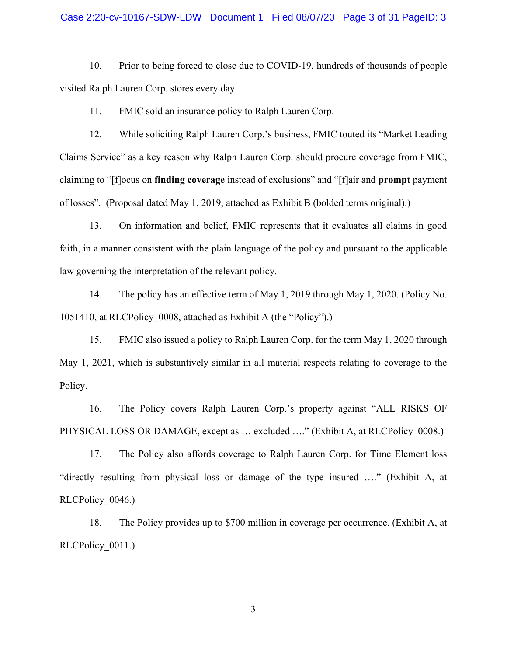#### Case 2:20-cv-10167-SDW-LDW Document 1 Filed 08/07/20 Page 3 of 31 PageID: 3

10. Prior to being forced to close due to COVID-19, hundreds of thousands of people visited Ralph Lauren Corp. stores every day.

11. FMIC sold an insurance policy to Ralph Lauren Corp.

12. While soliciting Ralph Lauren Corp.'s business, FMIC touted its "Market Leading Claims Service" as a key reason why Ralph Lauren Corp. should procure coverage from FMIC, claiming to "[f]ocus on **finding coverage** instead of exclusions" and "[f]air and **prompt** payment of losses". (Proposal dated May 1, 2019, attached as Exhibit B (bolded terms original).)

13. On information and belief, FMIC represents that it evaluates all claims in good faith, in a manner consistent with the plain language of the policy and pursuant to the applicable law governing the interpretation of the relevant policy.

14. The policy has an effective term of May 1, 2019 through May 1, 2020. (Policy No. 1051410, at RLCPolicy\_0008, attached as Exhibit A (the "Policy").)

15. FMIC also issued a policy to Ralph Lauren Corp. for the term May 1, 2020 through May 1, 2021, which is substantively similar in all material respects relating to coverage to the Policy.

16. The Policy covers Ralph Lauren Corp.'s property against "ALL RISKS OF PHYSICAL LOSS OR DAMAGE, except as ... excluded ...." (Exhibit A, at RLCPolicy 0008.)

17. The Policy also affords coverage to Ralph Lauren Corp. for Time Element loss "directly resulting from physical loss or damage of the type insured …." (Exhibit A, at RLCPolicy\_0046.)

18. The Policy provides up to \$700 million in coverage per occurrence. (Exhibit A, at RLCPolicy 0011.)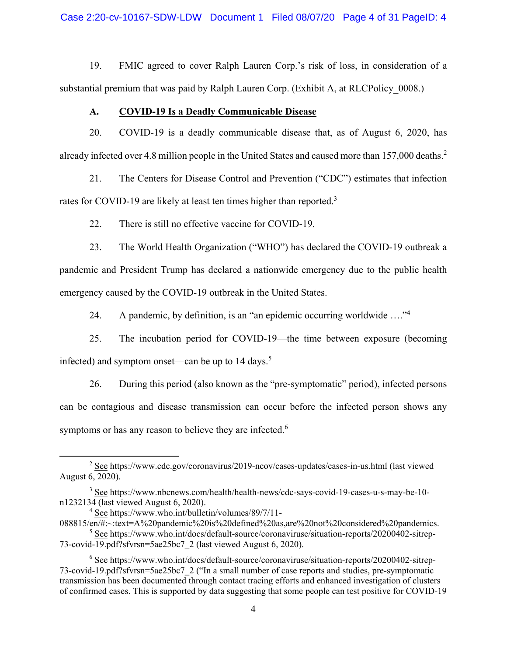Case 2:20-cv-10167-SDW-LDW Document 1 Filed 08/07/20 Page 4 of 31 PageID: 4

19. FMIC agreed to cover Ralph Lauren Corp.'s risk of loss, in consideration of a substantial premium that was paid by Ralph Lauren Corp. (Exhibit A, at RLCPolicy 0008.)

## **A. COVID-19 Is a Deadly Communicable Disease**

20. COVID-19 is a deadly communicable disease that, as of August 6, 2020, has already infected over 4.8 million people in the United States and caused more than 157,000 deaths.<sup>2</sup>

21. The Centers for Disease Control and Prevention ("CDC") estimates that infection rates for COVID-19 are likely at least ten times higher than reported.<sup>3</sup>

22. There is still no effective vaccine for COVID-19.

23. The World Health Organization ("WHO") has declared the COVID-19 outbreak a pandemic and President Trump has declared a nationwide emergency due to the public health emergency caused by the COVID-19 outbreak in the United States.

24. A pandemic, by definition, is an "an epidemic occurring worldwide  $\dots$ "<sup>4</sup>

25. The incubation period for COVID-19—the time between exposure (becoming infected) and symptom onset—can be up to  $14$  days.<sup>5</sup>

26. During this period (also known as the "pre-symptomatic" period), infected persons can be contagious and disease transmission can occur before the infected person shows any symptoms or has any reason to believe they are infected.<sup>6</sup>

 $\begin{array}{c|c}\n\hline\n\text{2}\n\end{array}$ <sup>2</sup> See https://www.cdc.gov/coronavirus/2019-ncov/cases-updates/cases-in-us.html (last viewed August 6, 2020).

<sup>&</sup>lt;sup>3</sup> See https://www.nbcnews.com/health/health-news/cdc-says-covid-19-cases-u-s-may-be-10n1232134 (last viewed August 6, 2020).

<sup>&</sup>lt;sup>4</sup> See https://www.who.int/bulletin/volumes/89/7/11-

<sup>088815/</sup>en/#:~:text=A%20pandemic%20is%20defined%20as,are%20not%20considered%20pandemics. <sup>5</sup> See https://www.who.int/docs/default-source/coronaviruse/situation-reports/20200402-sitrep-

<sup>73-</sup>covid-19.pdf?sfvrsn=5ae25bc7\_2 (last viewed August 6, 2020).

<sup>&</sup>lt;sup>6</sup> See https://www.who.int/docs/default-source/coronaviruse/situation-reports/20200402-sitrep-73-covid-19.pdf?sfvrsn=5ae25bc7\_2 ("In a small number of case reports and studies, pre-symptomatic transmission has been documented through contact tracing efforts and enhanced investigation of clusters of confirmed cases. This is supported by data suggesting that some people can test positive for COVID-19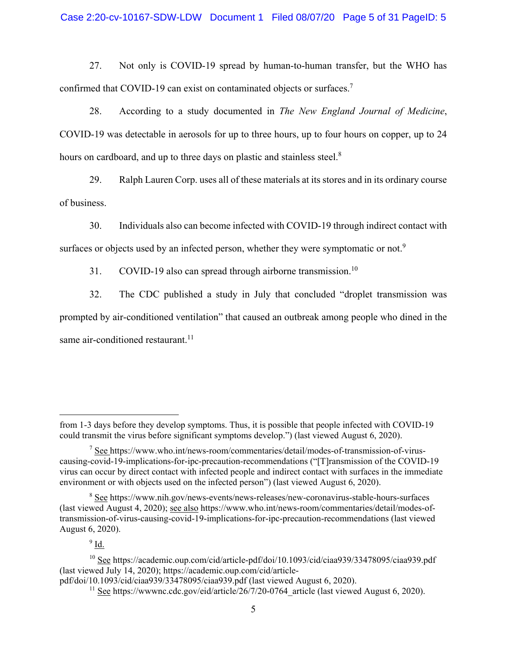27. Not only is COVID-19 spread by human-to-human transfer, but the WHO has confirmed that COVID-19 can exist on contaminated objects or surfaces.<sup>7</sup>

28. According to a study documented in *The New England Journal of Medicine*, COVID-19 was detectable in aerosols for up to three hours, up to four hours on copper, up to 24 hours on cardboard, and up to three days on plastic and stainless steel.<sup>8</sup>

29. Ralph Lauren Corp. uses all of these materials at its stores and in its ordinary course of business.

30. Individuals also can become infected with COVID-19 through indirect contact with

surfaces or objects used by an infected person, whether they were symptomatic or not.<sup>9</sup>

31. COVID-19 also can spread through airborne transmission.<sup>10</sup>

32. The CDC published a study in July that concluded "droplet transmission was prompted by air-conditioned ventilation" that caused an outbreak among people who dined in the same air-conditioned restaurant. $11$ 

 $9 \underline{\mathsf{Id}}$ .

 $\overline{a}$ 

from 1-3 days before they develop symptoms. Thus, it is possible that people infected with COVID-19 could transmit the virus before significant symptoms develop.") (last viewed August 6, 2020).

 $7 \text{ See }$ https://www.who.int/news-room/commentaries/detail/modes-of-transmission-of-viruscausing-covid-19-implications-for-ipc-precaution-recommendations ("[T]ransmission of the COVID-19 virus can occur by direct contact with infected people and indirect contact with surfaces in the immediate environment or with objects used on the infected person") (last viewed August 6, 2020).

<sup>&</sup>lt;sup>8</sup> See https://www.nih.gov/news-events/news-releases/new-coronavirus-stable-hours-surfaces (last viewed August 4, 2020); see also https://www.who.int/news-room/commentaries/detail/modes-oftransmission-of-virus-causing-covid-19-implications-for-ipc-precaution-recommendations (last viewed August 6, 2020).

<sup>&</sup>lt;sup>10</sup> See https://academic.oup.com/cid/article-pdf/doi/10.1093/cid/ciaa939/33478095/ciaa939.pdf (last viewed July 14, 2020); https://academic.oup.com/cid/article-

pdf/doi/10.1093/cid/ciaa939/33478095/ciaa939.pdf (last viewed August 6, 2020).

 $11$  See https://wwwnc.cdc.gov/eid/article/26/7/20-0764 article (last viewed August 6, 2020).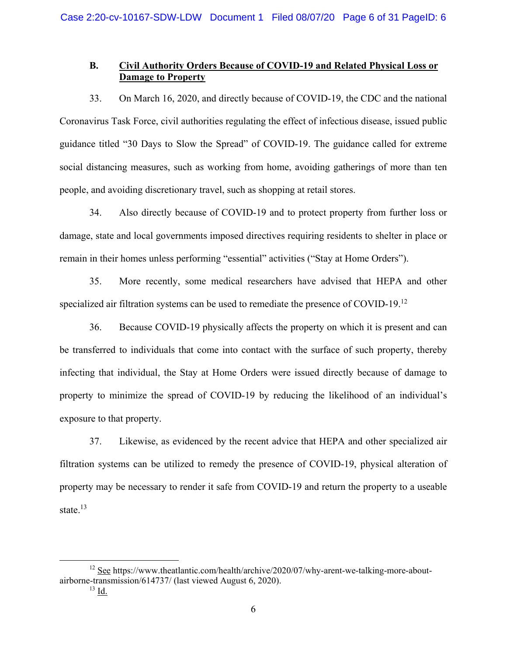# **B. Civil Authority Orders Because of COVID-19 and Related Physical Loss or Damage to Property**

33. On March 16, 2020, and directly because of COVID-19, the CDC and the national Coronavirus Task Force, civil authorities regulating the effect of infectious disease, issued public guidance titled "30 Days to Slow the Spread" of COVID-19. The guidance called for extreme social distancing measures, such as working from home, avoiding gatherings of more than ten people, and avoiding discretionary travel, such as shopping at retail stores.

34. Also directly because of COVID-19 and to protect property from further loss or damage, state and local governments imposed directives requiring residents to shelter in place or remain in their homes unless performing "essential" activities ("Stay at Home Orders").

35. More recently, some medical researchers have advised that HEPA and other specialized air filtration systems can be used to remediate the presence of COVID-19.<sup>12</sup>

36. Because COVID-19 physically affects the property on which it is present and can be transferred to individuals that come into contact with the surface of such property, thereby infecting that individual, the Stay at Home Orders were issued directly because of damage to property to minimize the spread of COVID-19 by reducing the likelihood of an individual's exposure to that property.

37. Likewise, as evidenced by the recent advice that HEPA and other specialized air filtration systems can be utilized to remedy the presence of COVID-19, physical alteration of property may be necessary to render it safe from COVID-19 and return the property to a useable state.<sup>13</sup>

 $12$  See https://www.theatlantic.com/health/archive/2020/07/why-arent-we-talking-more-aboutairborne-transmission/614737/ (last viewed August 6, 2020).

 $^{13}$  Id.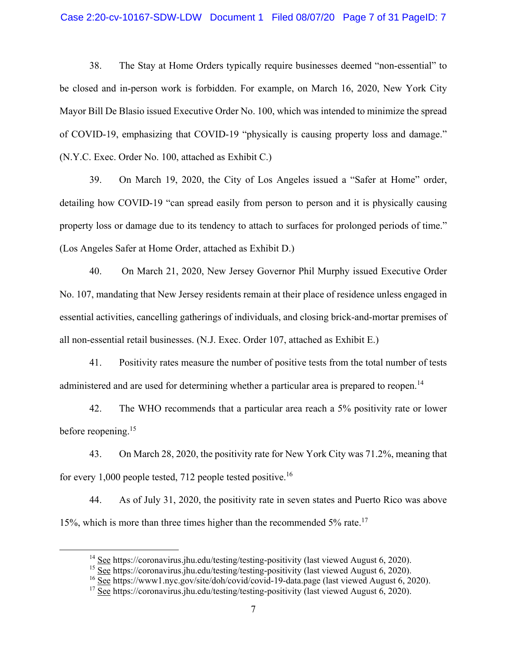### Case 2:20-cv-10167-SDW-LDW Document 1 Filed 08/07/20 Page 7 of 31 PageID: 7

38. The Stay at Home Orders typically require businesses deemed "non-essential" to be closed and in-person work is forbidden. For example, on March 16, 2020, New York City Mayor Bill De Blasio issued Executive Order No. 100, which was intended to minimize the spread of COVID-19, emphasizing that COVID-19 "physically is causing property loss and damage." (N.Y.C. Exec. Order No. 100, attached as Exhibit C.)

39. On March 19, 2020, the City of Los Angeles issued a "Safer at Home" order, detailing how COVID-19 "can spread easily from person to person and it is physically causing property loss or damage due to its tendency to attach to surfaces for prolonged periods of time." (Los Angeles Safer at Home Order, attached as Exhibit D.)

40. On March 21, 2020, New Jersey Governor Phil Murphy issued Executive Order No. 107, mandating that New Jersey residents remain at their place of residence unless engaged in essential activities, cancelling gatherings of individuals, and closing brick-and-mortar premises of all non-essential retail businesses. (N.J. Exec. Order 107, attached as Exhibit E.)

41. Positivity rates measure the number of positive tests from the total number of tests administered and are used for determining whether a particular area is prepared to reopen.<sup>14</sup>

42. The WHO recommends that a particular area reach a 5% positivity rate or lower before reopening.<sup>15</sup>

43. On March 28, 2020, the positivity rate for New York City was 71.2%, meaning that for every 1,000 people tested, 712 people tested positive.<sup>16</sup>

44. As of July 31, 2020, the positivity rate in seven states and Puerto Rico was above 15%, which is more than three times higher than the recommended 5% rate.<sup>17</sup>

<sup>&</sup>lt;sup>14</sup> See https://coronavirus.jhu.edu/testing/testing-positivity (last viewed August 6, 2020).

<sup>&</sup>lt;sup>15</sup> See https://coronavirus.jhu.edu/testing/testing-positivity (last viewed August 6, 2020).

<sup>&</sup>lt;sup>16</sup> See https://www1.nyc.gov/site/doh/covid/covid-19-data.page (last viewed August 6, 2020).

<sup>&</sup>lt;sup>17</sup> See https://coronavirus.jhu.edu/testing/testing-positivity (last viewed August 6, 2020).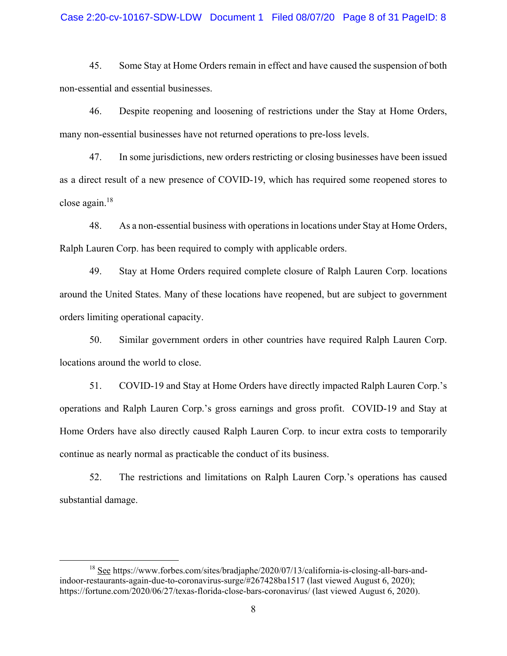#### Case 2:20-cv-10167-SDW-LDW Document 1 Filed 08/07/20 Page 8 of 31 PageID: 8

45. Some Stay at Home Orders remain in effect and have caused the suspension of both non-essential and essential businesses.

46. Despite reopening and loosening of restrictions under the Stay at Home Orders, many non-essential businesses have not returned operations to pre-loss levels.

47. In some jurisdictions, new orders restricting or closing businesses have been issued as a direct result of a new presence of COVID-19, which has required some reopened stores to close again.18

48. As a non-essential business with operations in locations under Stay at Home Orders, Ralph Lauren Corp. has been required to comply with applicable orders.

49. Stay at Home Orders required complete closure of Ralph Lauren Corp. locations around the United States. Many of these locations have reopened, but are subject to government orders limiting operational capacity.

50. Similar government orders in other countries have required Ralph Lauren Corp. locations around the world to close.

51. COVID-19 and Stay at Home Orders have directly impacted Ralph Lauren Corp.'s operations and Ralph Lauren Corp.'s gross earnings and gross profit. COVID-19 and Stay at Home Orders have also directly caused Ralph Lauren Corp. to incur extra costs to temporarily continue as nearly normal as practicable the conduct of its business.

52. The restrictions and limitations on Ralph Lauren Corp.'s operations has caused substantial damage.

<sup>&</sup>lt;sup>18</sup> See https://www.forbes.com/sites/bradjaphe/2020/07/13/california-is-closing-all-bars-andindoor-restaurants-again-due-to-coronavirus-surge/#267428ba1517 (last viewed August 6, 2020); https://fortune.com/2020/06/27/texas-florida-close-bars-coronavirus/ (last viewed August 6, 2020).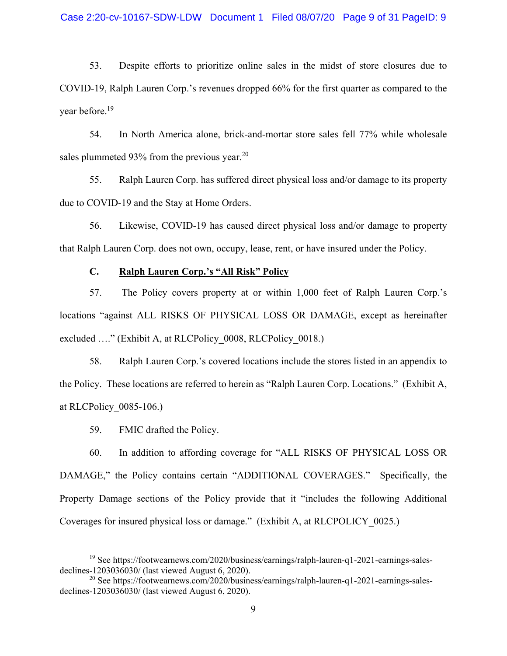53. Despite efforts to prioritize online sales in the midst of store closures due to COVID-19, Ralph Lauren Corp.'s revenues dropped 66% for the first quarter as compared to the year before.19

54. In North America alone, brick-and-mortar store sales fell 77% while wholesale sales plummeted 93% from the previous year.<sup>20</sup>

55. Ralph Lauren Corp. has suffered direct physical loss and/or damage to its property due to COVID-19 and the Stay at Home Orders.

56. Likewise, COVID-19 has caused direct physical loss and/or damage to property that Ralph Lauren Corp. does not own, occupy, lease, rent, or have insured under the Policy.

# **C. Ralph Lauren Corp.'s "All Risk" Policy**

57. The Policy covers property at or within 1,000 feet of Ralph Lauren Corp.'s locations "against ALL RISKS OF PHYSICAL LOSS OR DAMAGE, except as hereinafter excluded ...." (Exhibit A, at RLCPolicy 0008, RLCPolicy 0018.)

58. Ralph Lauren Corp.'s covered locations include the stores listed in an appendix to the Policy. These locations are referred to herein as "Ralph Lauren Corp. Locations." (Exhibit A, at RLCPolicy\_0085-106.)

59. FMIC drafted the Policy.

60. In addition to affording coverage for "ALL RISKS OF PHYSICAL LOSS OR DAMAGE," the Policy contains certain "ADDITIONAL COVERAGES." Specifically, the Property Damage sections of the Policy provide that it "includes the following Additional Coverages for insured physical loss or damage." (Exhibit A, at RLCPOLICY\_0025.)

 <sup>19</sup> See https://footwearnews.com/2020/business/earnings/ralph-lauren-q1-2021-earnings-salesdeclines-1203036030/ (last viewed August 6, 2020).

<sup>&</sup>lt;sup>20</sup> See https://footwearnews.com/2020/business/earnings/ralph-lauren-q1-2021-earnings-salesdeclines-1203036030/ (last viewed August 6, 2020).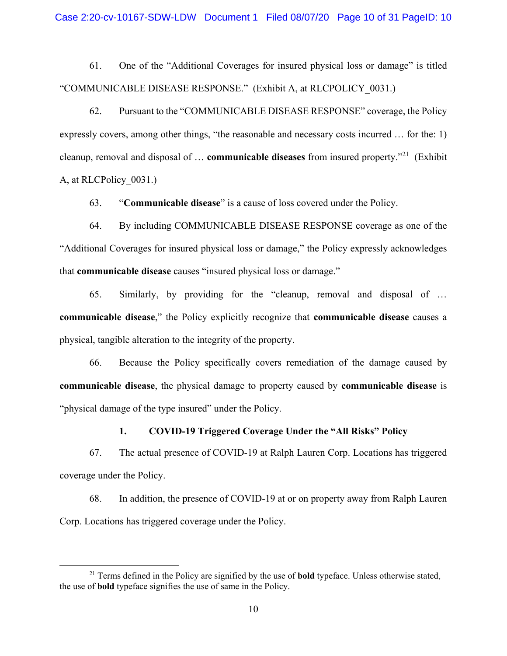61. One of the "Additional Coverages for insured physical loss or damage" is titled "COMMUNICABLE DISEASE RESPONSE." (Exhibit A, at RLCPOLICY\_0031.)

62. Pursuant to the "COMMUNICABLE DISEASE RESPONSE" coverage, the Policy expressly covers, among other things, "the reasonable and necessary costs incurred … for the: 1) cleanup, removal and disposal of … **communicable diseases** from insured property."21 (Exhibit A, at RLCPolicy\_0031.)

63. "**Communicable disease**" is a cause of loss covered under the Policy.

64. By including COMMUNICABLE DISEASE RESPONSE coverage as one of the "Additional Coverages for insured physical loss or damage," the Policy expressly acknowledges that **communicable disease** causes "insured physical loss or damage."

65. Similarly, by providing for the "cleanup, removal and disposal of … **communicable disease**," the Policy explicitly recognize that **communicable disease** causes a physical, tangible alteration to the integrity of the property.

66. Because the Policy specifically covers remediation of the damage caused by **communicable disease**, the physical damage to property caused by **communicable disease** is "physical damage of the type insured" under the Policy.

### **1. COVID-19 Triggered Coverage Under the "All Risks" Policy**

67. The actual presence of COVID-19 at Ralph Lauren Corp. Locations has triggered coverage under the Policy.

68. In addition, the presence of COVID-19 at or on property away from Ralph Lauren Corp. Locations has triggered coverage under the Policy.

 <sup>21</sup> Terms defined in the Policy are signified by the use of **bold** typeface. Unless otherwise stated, the use of **bold** typeface signifies the use of same in the Policy.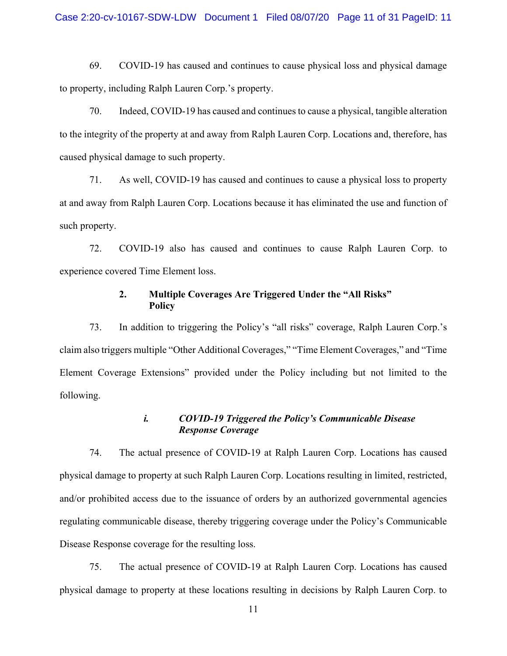69. COVID-19 has caused and continues to cause physical loss and physical damage to property, including Ralph Lauren Corp.'s property.

70. Indeed, COVID-19 has caused and continues to cause a physical, tangible alteration to the integrity of the property at and away from Ralph Lauren Corp. Locations and, therefore, has caused physical damage to such property.

71. As well, COVID-19 has caused and continues to cause a physical loss to property at and away from Ralph Lauren Corp. Locations because it has eliminated the use and function of such property.

72. COVID-19 also has caused and continues to cause Ralph Lauren Corp. to experience covered Time Element loss.

# **2. Multiple Coverages Are Triggered Under the "All Risks" Policy**

73. In addition to triggering the Policy's "all risks" coverage, Ralph Lauren Corp.'s claim also triggers multiple "Other Additional Coverages," "Time Element Coverages," and "Time Element Coverage Extensions" provided under the Policy including but not limited to the following.

# *i. COVID-19 Triggered the Policy's Communicable Disease Response Coverage*

74. The actual presence of COVID-19 at Ralph Lauren Corp. Locations has caused physical damage to property at such Ralph Lauren Corp. Locations resulting in limited, restricted, and/or prohibited access due to the issuance of orders by an authorized governmental agencies regulating communicable disease, thereby triggering coverage under the Policy's Communicable Disease Response coverage for the resulting loss.

75. The actual presence of COVID-19 at Ralph Lauren Corp. Locations has caused physical damage to property at these locations resulting in decisions by Ralph Lauren Corp. to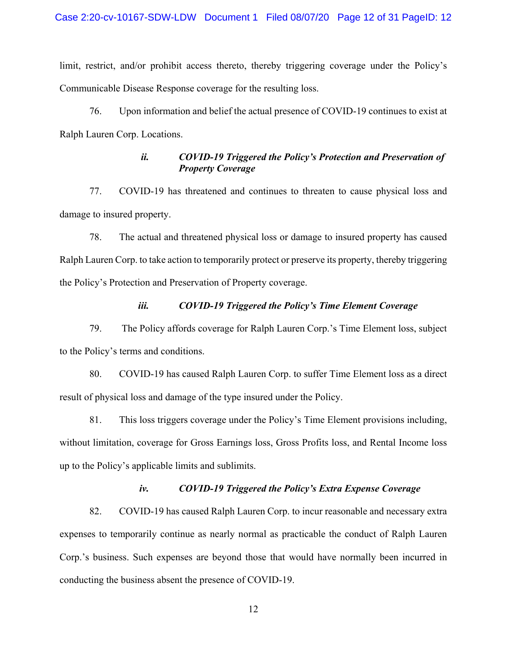limit, restrict, and/or prohibit access thereto, thereby triggering coverage under the Policy's Communicable Disease Response coverage for the resulting loss.

76. Upon information and belief the actual presence of COVID-19 continues to exist at Ralph Lauren Corp. Locations.

# *ii. COVID-19 Triggered the Policy's Protection and Preservation of Property Coverage*

77. COVID-19 has threatened and continues to threaten to cause physical loss and damage to insured property.

78. The actual and threatened physical loss or damage to insured property has caused Ralph Lauren Corp. to take action to temporarily protect or preserve its property, thereby triggering the Policy's Protection and Preservation of Property coverage.

# *iii. COVID-19 Triggered the Policy's Time Element Coverage*

79. The Policy affords coverage for Ralph Lauren Corp.'s Time Element loss, subject to the Policy's terms and conditions.

80. COVID-19 has caused Ralph Lauren Corp. to suffer Time Element loss as a direct result of physical loss and damage of the type insured under the Policy.

81. This loss triggers coverage under the Policy's Time Element provisions including, without limitation, coverage for Gross Earnings loss, Gross Profits loss, and Rental Income loss up to the Policy's applicable limits and sublimits.

# *iv. COVID-19 Triggered the Policy's Extra Expense Coverage*

82. COVID-19 has caused Ralph Lauren Corp. to incur reasonable and necessary extra expenses to temporarily continue as nearly normal as practicable the conduct of Ralph Lauren Corp.'s business. Such expenses are beyond those that would have normally been incurred in conducting the business absent the presence of COVID-19.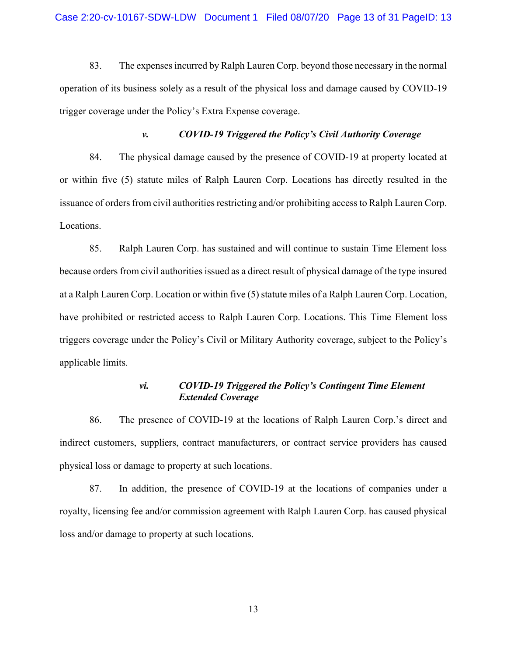83. The expenses incurred by Ralph Lauren Corp. beyond those necessary in the normal operation of its business solely as a result of the physical loss and damage caused by COVID-19 trigger coverage under the Policy's Extra Expense coverage.

### *v. COVID-19 Triggered the Policy's Civil Authority Coverage*

84. The physical damage caused by the presence of COVID-19 at property located at or within five (5) statute miles of Ralph Lauren Corp. Locations has directly resulted in the issuance of orders from civil authorities restricting and/or prohibiting access to Ralph Lauren Corp. Locations.

85. Ralph Lauren Corp. has sustained and will continue to sustain Time Element loss because orders from civil authorities issued as a direct result of physical damage of the type insured at a Ralph Lauren Corp. Location or within five (5) statute miles of a Ralph Lauren Corp. Location, have prohibited or restricted access to Ralph Lauren Corp. Locations. This Time Element loss triggers coverage under the Policy's Civil or Military Authority coverage, subject to the Policy's applicable limits.

# *vi. COVID-19 Triggered the Policy's Contingent Time Element Extended Coverage*

86. The presence of COVID-19 at the locations of Ralph Lauren Corp.'s direct and indirect customers, suppliers, contract manufacturers, or contract service providers has caused physical loss or damage to property at such locations.

87. In addition, the presence of COVID-19 at the locations of companies under a royalty, licensing fee and/or commission agreement with Ralph Lauren Corp. has caused physical loss and/or damage to property at such locations.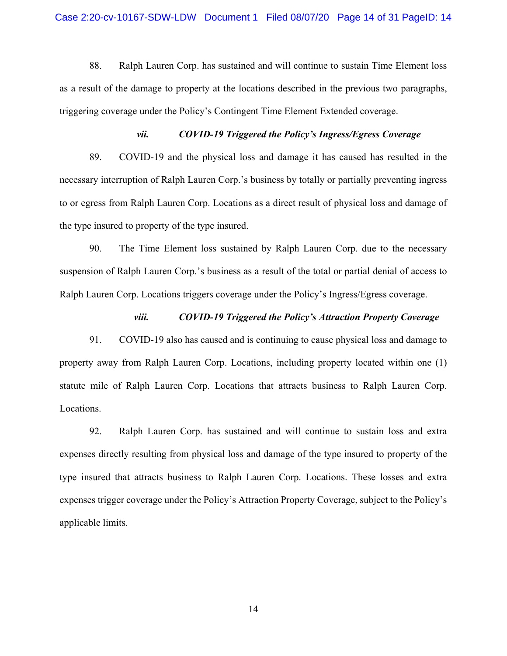88. Ralph Lauren Corp. has sustained and will continue to sustain Time Element loss as a result of the damage to property at the locations described in the previous two paragraphs, triggering coverage under the Policy's Contingent Time Element Extended coverage.

### *vii. COVID-19 Triggered the Policy's Ingress/Egress Coverage*

89. COVID-19 and the physical loss and damage it has caused has resulted in the necessary interruption of Ralph Lauren Corp.'s business by totally or partially preventing ingress to or egress from Ralph Lauren Corp. Locations as a direct result of physical loss and damage of the type insured to property of the type insured.

90. The Time Element loss sustained by Ralph Lauren Corp. due to the necessary suspension of Ralph Lauren Corp.'s business as a result of the total or partial denial of access to Ralph Lauren Corp. Locations triggers coverage under the Policy's Ingress/Egress coverage.

### *viii. COVID-19 Triggered the Policy's Attraction Property Coverage*

91. COVID-19 also has caused and is continuing to cause physical loss and damage to property away from Ralph Lauren Corp. Locations, including property located within one (1) statute mile of Ralph Lauren Corp. Locations that attracts business to Ralph Lauren Corp. Locations.

92. Ralph Lauren Corp. has sustained and will continue to sustain loss and extra expenses directly resulting from physical loss and damage of the type insured to property of the type insured that attracts business to Ralph Lauren Corp. Locations. These losses and extra expenses trigger coverage under the Policy's Attraction Property Coverage, subject to the Policy's applicable limits.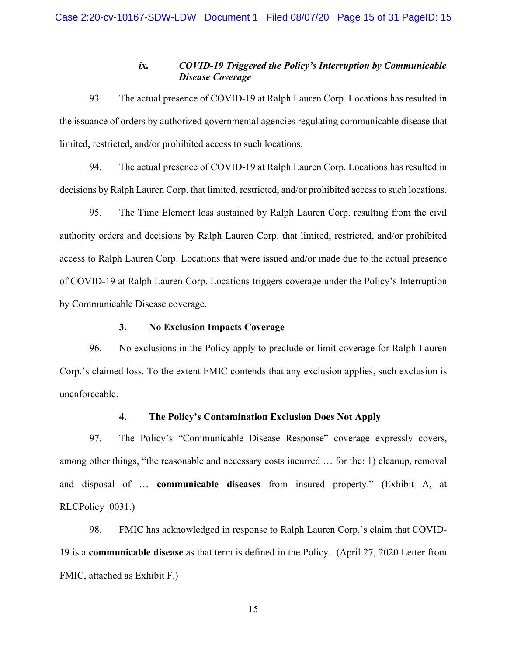# *ix. COVID-19 Triggered the Policy's Interruption by Communicable Disease Coverage*

93. The actual presence of COVID-19 at Ralph Lauren Corp. Locations has resulted in the issuance of orders by authorized governmental agencies regulating communicable disease that limited, restricted, and/or prohibited access to such locations.

94. The actual presence of COVID-19 at Ralph Lauren Corp. Locations has resulted in decisions by Ralph Lauren Corp. that limited, restricted, and/or prohibited access to such locations.

95. The Time Element loss sustained by Ralph Lauren Corp. resulting from the civil authority orders and decisions by Ralph Lauren Corp. that limited, restricted, and/or prohibited access to Ralph Lauren Corp. Locations that were issued and/or made due to the actual presence of COVID-19 at Ralph Lauren Corp. Locations triggers coverage under the Policy's Interruption by Communicable Disease coverage.

### **3. No Exclusion Impacts Coverage**

96. No exclusions in the Policy apply to preclude or limit coverage for Ralph Lauren Corp.'s claimed loss. To the extent FMIC contends that any exclusion applies, such exclusion is unenforceable.

# **4. The Policy's Contamination Exclusion Does Not Apply**

97. The Policy's "Communicable Disease Response" coverage expressly covers, among other things, "the reasonable and necessary costs incurred … for the: 1) cleanup, removal and disposal of … **communicable diseases** from insured property." (Exhibit A, at RLCPolicy 0031.)

98. FMIC has acknowledged in response to Ralph Lauren Corp.'s claim that COVID-19 is a **communicable disease** as that term is defined in the Policy. (April 27, 2020 Letter from FMIC, attached as Exhibit F.)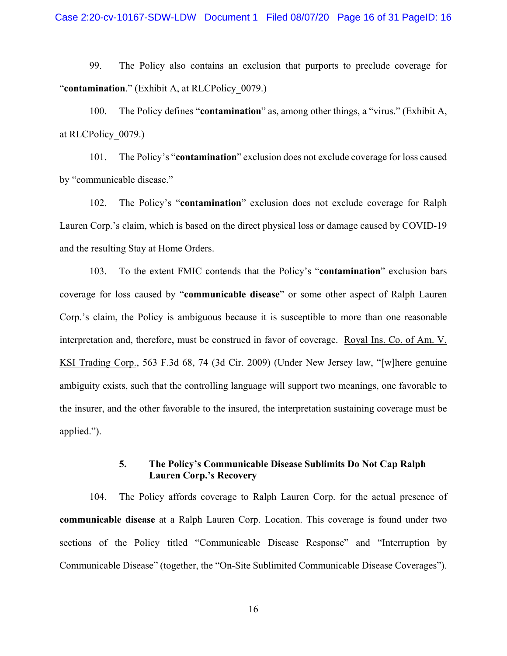99. The Policy also contains an exclusion that purports to preclude coverage for "**contamination**." (Exhibit A, at RLCPolicy\_0079.)

100. The Policy defines "**contamination**" as, among other things, a "virus." (Exhibit A, at RLCPolicy\_0079.)

101. The Policy's "**contamination**" exclusion does not exclude coverage for loss caused by "communicable disease."

102. The Policy's "**contamination**" exclusion does not exclude coverage for Ralph Lauren Corp.'s claim, which is based on the direct physical loss or damage caused by COVID-19 and the resulting Stay at Home Orders.

103. To the extent FMIC contends that the Policy's "**contamination**" exclusion bars coverage for loss caused by "**communicable disease**" or some other aspect of Ralph Lauren Corp.'s claim, the Policy is ambiguous because it is susceptible to more than one reasonable interpretation and, therefore, must be construed in favor of coverage. Royal Ins. Co. of Am. V. KSI Trading Corp., 563 F.3d 68, 74 (3d Cir. 2009) (Under New Jersey law, "[w]here genuine ambiguity exists, such that the controlling language will support two meanings, one favorable to the insurer, and the other favorable to the insured, the interpretation sustaining coverage must be applied.").

# **5. The Policy's Communicable Disease Sublimits Do Not Cap Ralph Lauren Corp.'s Recovery**

104. The Policy affords coverage to Ralph Lauren Corp. for the actual presence of **communicable disease** at a Ralph Lauren Corp. Location. This coverage is found under two sections of the Policy titled "Communicable Disease Response" and "Interruption by Communicable Disease" (together, the "On-Site Sublimited Communicable Disease Coverages").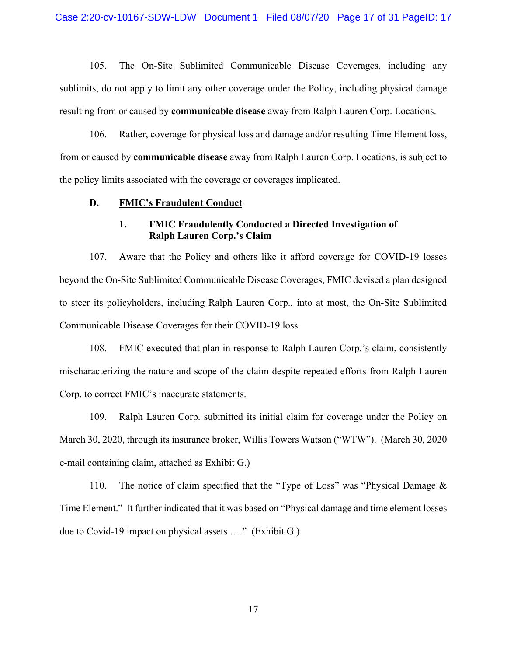105. The On-Site Sublimited Communicable Disease Coverages, including any sublimits, do not apply to limit any other coverage under the Policy, including physical damage resulting from or caused by **communicable disease** away from Ralph Lauren Corp. Locations.

106. Rather, coverage for physical loss and damage and/or resulting Time Element loss, from or caused by **communicable disease** away from Ralph Lauren Corp. Locations, is subject to the policy limits associated with the coverage or coverages implicated.

#### **D. FMIC's Fraudulent Conduct**

# **1. FMIC Fraudulently Conducted a Directed Investigation of Ralph Lauren Corp.'s Claim**

107. Aware that the Policy and others like it afford coverage for COVID-19 losses beyond the On-Site Sublimited Communicable Disease Coverages, FMIC devised a plan designed to steer its policyholders, including Ralph Lauren Corp., into at most, the On-Site Sublimited Communicable Disease Coverages for their COVID-19 loss.

108. FMIC executed that plan in response to Ralph Lauren Corp.'s claim, consistently mischaracterizing the nature and scope of the claim despite repeated efforts from Ralph Lauren Corp. to correct FMIC's inaccurate statements.

109. Ralph Lauren Corp. submitted its initial claim for coverage under the Policy on March 30, 2020, through its insurance broker, Willis Towers Watson ("WTW"). (March 30, 2020 e-mail containing claim, attached as Exhibit G.)

110. The notice of claim specified that the "Type of Loss" was "Physical Damage & Time Element." It further indicated that it was based on "Physical damage and time element losses due to Covid-19 impact on physical assets …." (Exhibit G.)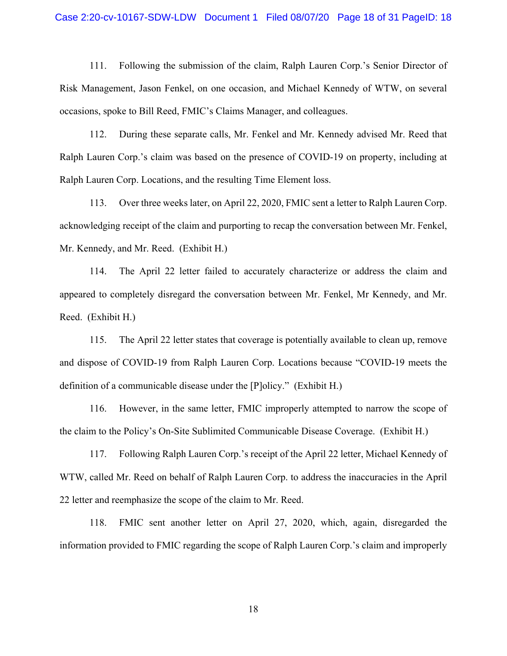#### Case 2:20-cv-10167-SDW-LDW Document 1 Filed 08/07/20 Page 18 of 31 PageID: 18

111. Following the submission of the claim, Ralph Lauren Corp.'s Senior Director of Risk Management, Jason Fenkel, on one occasion, and Michael Kennedy of WTW, on several occasions, spoke to Bill Reed, FMIC's Claims Manager, and colleagues.

112. During these separate calls, Mr. Fenkel and Mr. Kennedy advised Mr. Reed that Ralph Lauren Corp.'s claim was based on the presence of COVID-19 on property, including at Ralph Lauren Corp. Locations, and the resulting Time Element loss.

113. Over three weeks later, on April 22, 2020, FMIC sent a letter to Ralph Lauren Corp. acknowledging receipt of the claim and purporting to recap the conversation between Mr. Fenkel, Mr. Kennedy, and Mr. Reed. (Exhibit H.)

114. The April 22 letter failed to accurately characterize or address the claim and appeared to completely disregard the conversation between Mr. Fenkel, Mr Kennedy, and Mr. Reed. (Exhibit H.)

115. The April 22 letter states that coverage is potentially available to clean up, remove and dispose of COVID-19 from Ralph Lauren Corp. Locations because "COVID-19 meets the definition of a communicable disease under the [P]olicy." (Exhibit H.)

116. However, in the same letter, FMIC improperly attempted to narrow the scope of the claim to the Policy's On-Site Sublimited Communicable Disease Coverage. (Exhibit H.)

117. Following Ralph Lauren Corp.'s receipt of the April 22 letter, Michael Kennedy of WTW, called Mr. Reed on behalf of Ralph Lauren Corp. to address the inaccuracies in the April 22 letter and reemphasize the scope of the claim to Mr. Reed.

118. FMIC sent another letter on April 27, 2020, which, again, disregarded the information provided to FMIC regarding the scope of Ralph Lauren Corp.'s claim and improperly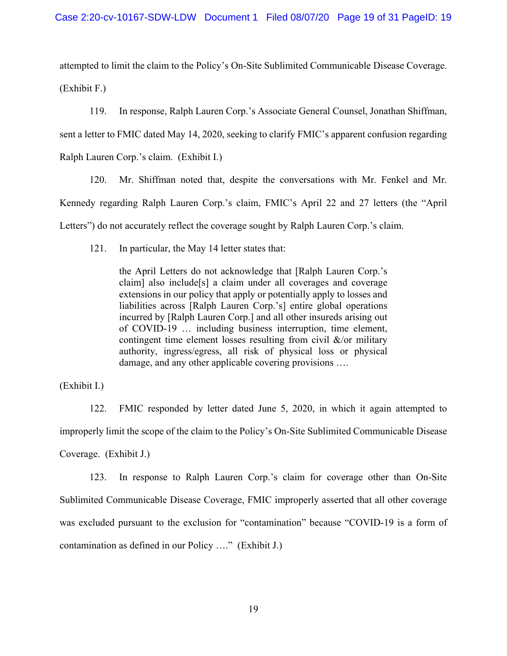attempted to limit the claim to the Policy's On-Site Sublimited Communicable Disease Coverage. (Exhibit F.)

119. In response, Ralph Lauren Corp.'s Associate General Counsel, Jonathan Shiffman, sent a letter to FMIC dated May 14, 2020, seeking to clarify FMIC's apparent confusion regarding Ralph Lauren Corp.'s claim. (Exhibit I.)

120. Mr. Shiffman noted that, despite the conversations with Mr. Fenkel and Mr. Kennedy regarding Ralph Lauren Corp.'s claim, FMIC's April 22 and 27 letters (the "April Letters") do not accurately reflect the coverage sought by Ralph Lauren Corp.'s claim.

121. In particular, the May 14 letter states that:

the April Letters do not acknowledge that [Ralph Lauren Corp.'s claim] also include[s] a claim under all coverages and coverage extensions in our policy that apply or potentially apply to losses and liabilities across [Ralph Lauren Corp.'s] entire global operations incurred by [Ralph Lauren Corp.] and all other insureds arising out of COVID-19 … including business interruption, time element, contingent time element losses resulting from civil &/or military authority, ingress/egress, all risk of physical loss or physical damage, and any other applicable covering provisions ….

(Exhibit I.)

122. FMIC responded by letter dated June 5, 2020, in which it again attempted to improperly limit the scope of the claim to the Policy's On-Site Sublimited Communicable Disease Coverage. (Exhibit J.)

123. In response to Ralph Lauren Corp.'s claim for coverage other than On-Site Sublimited Communicable Disease Coverage, FMIC improperly asserted that all other coverage was excluded pursuant to the exclusion for "contamination" because "COVID-19 is a form of contamination as defined in our Policy …." (Exhibit J.)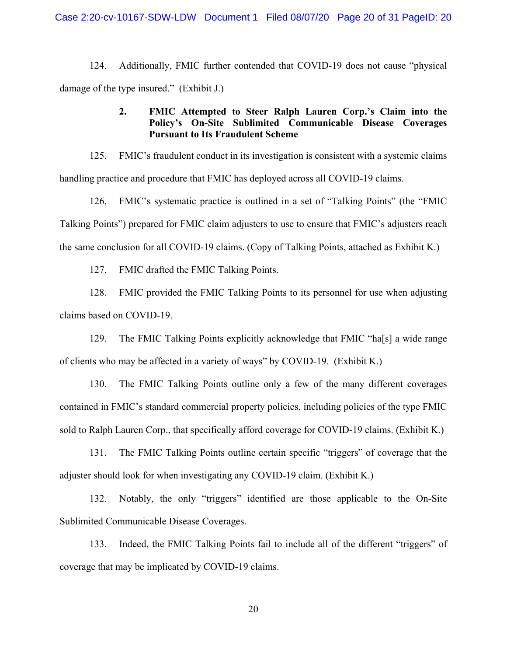124. Additionally, FMIC further contended that COVID-19 does not cause "physical damage of the type insured." (Exhibit J.)

# **2. FMIC Attempted to Steer Ralph Lauren Corp.'s Claim into the Policy's On-Site Sublimited Communicable Disease Coverages Pursuant to Its Fraudulent Scheme**

125. FMIC's fraudulent conduct in its investigation is consistent with a systemic claims handling practice and procedure that FMIC has deployed across all COVID-19 claims.

126. FMIC's systematic practice is outlined in a set of "Talking Points" (the "FMIC Talking Points") prepared for FMIC claim adjusters to use to ensure that FMIC's adjusters reach the same conclusion for all COVID-19 claims. (Copy of Talking Points, attached as Exhibit K.)

127. FMIC drafted the FMIC Talking Points.

128. FMIC provided the FMIC Talking Points to its personnel for use when adjusting claims based on COVID-19.

129. The FMIC Talking Points explicitly acknowledge that FMIC "ha[s] a wide range of clients who may be affected in a variety of ways" by COVID-19. (Exhibit K.)

130. The FMIC Talking Points outline only a few of the many different coverages contained in FMIC's standard commercial property policies, including policies of the type FMIC sold to Ralph Lauren Corp., that specifically afford coverage for COVID-19 claims. (Exhibit K.)

131. The FMIC Talking Points outline certain specific "triggers" of coverage that the adjuster should look for when investigating any COVID-19 claim. (Exhibit K.)

132. Notably, the only "triggers" identified are those applicable to the On-Site Sublimited Communicable Disease Coverages.

133. Indeed, the FMIC Talking Points fail to include all of the different "triggers" of coverage that may be implicated by COVID-19 claims.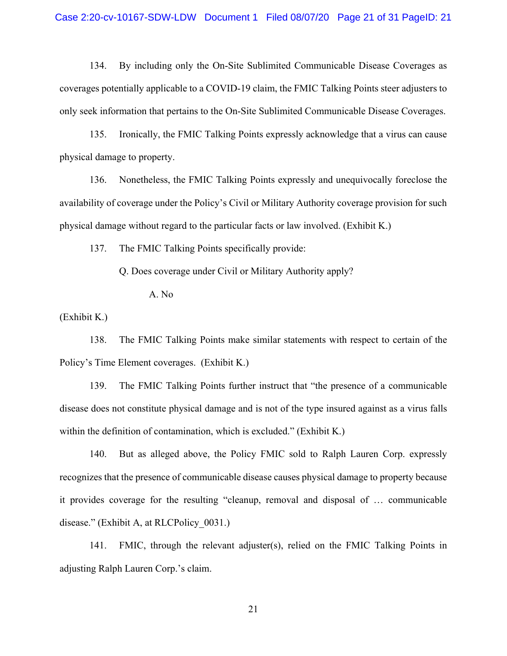134. By including only the On-Site Sublimited Communicable Disease Coverages as coverages potentially applicable to a COVID-19 claim, the FMIC Talking Points steer adjusters to only seek information that pertains to the On-Site Sublimited Communicable Disease Coverages.

135. Ironically, the FMIC Talking Points expressly acknowledge that a virus can cause physical damage to property.

136. Nonetheless, the FMIC Talking Points expressly and unequivocally foreclose the availability of coverage under the Policy's Civil or Military Authority coverage provision for such physical damage without regard to the particular facts or law involved. (Exhibit K.)

137. The FMIC Talking Points specifically provide:

Q. Does coverage under Civil or Military Authority apply?

A. No

(Exhibit K.)

138. The FMIC Talking Points make similar statements with respect to certain of the Policy's Time Element coverages. (Exhibit K.)

139. The FMIC Talking Points further instruct that "the presence of a communicable disease does not constitute physical damage and is not of the type insured against as a virus falls within the definition of contamination, which is excluded." (Exhibit K.)

140. But as alleged above, the Policy FMIC sold to Ralph Lauren Corp. expressly recognizes that the presence of communicable disease causes physical damage to property because it provides coverage for the resulting "cleanup, removal and disposal of … communicable disease." (Exhibit A, at RLCPolicy 0031.)

141. FMIC, through the relevant adjuster(s), relied on the FMIC Talking Points in adjusting Ralph Lauren Corp.'s claim.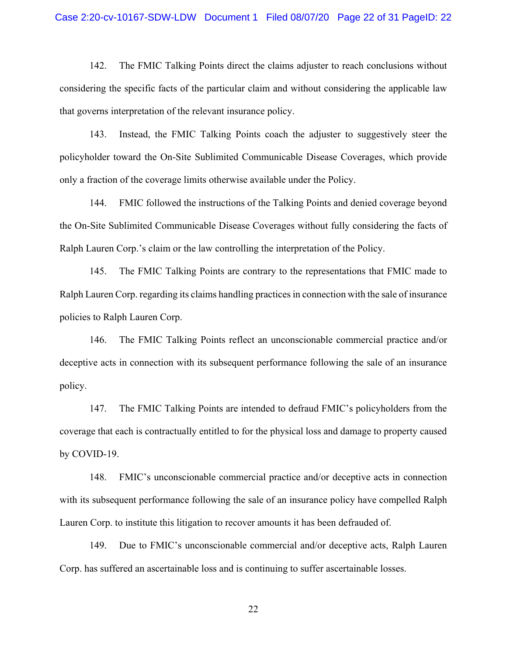#### Case 2:20-cv-10167-SDW-LDW Document 1 Filed 08/07/20 Page 22 of 31 PageID: 22

142. The FMIC Talking Points direct the claims adjuster to reach conclusions without considering the specific facts of the particular claim and without considering the applicable law that governs interpretation of the relevant insurance policy.

143. Instead, the FMIC Talking Points coach the adjuster to suggestively steer the policyholder toward the On-Site Sublimited Communicable Disease Coverages, which provide only a fraction of the coverage limits otherwise available under the Policy.

144. FMIC followed the instructions of the Talking Points and denied coverage beyond the On-Site Sublimited Communicable Disease Coverages without fully considering the facts of Ralph Lauren Corp.'s claim or the law controlling the interpretation of the Policy.

145. The FMIC Talking Points are contrary to the representations that FMIC made to Ralph Lauren Corp. regarding its claims handling practices in connection with the sale of insurance policies to Ralph Lauren Corp.

146. The FMIC Talking Points reflect an unconscionable commercial practice and/or deceptive acts in connection with its subsequent performance following the sale of an insurance policy.

147. The FMIC Talking Points are intended to defraud FMIC's policyholders from the coverage that each is contractually entitled to for the physical loss and damage to property caused by COVID-19.

148. FMIC's unconscionable commercial practice and/or deceptive acts in connection with its subsequent performance following the sale of an insurance policy have compelled Ralph Lauren Corp. to institute this litigation to recover amounts it has been defrauded of.

149. Due to FMIC's unconscionable commercial and/or deceptive acts, Ralph Lauren Corp. has suffered an ascertainable loss and is continuing to suffer ascertainable losses.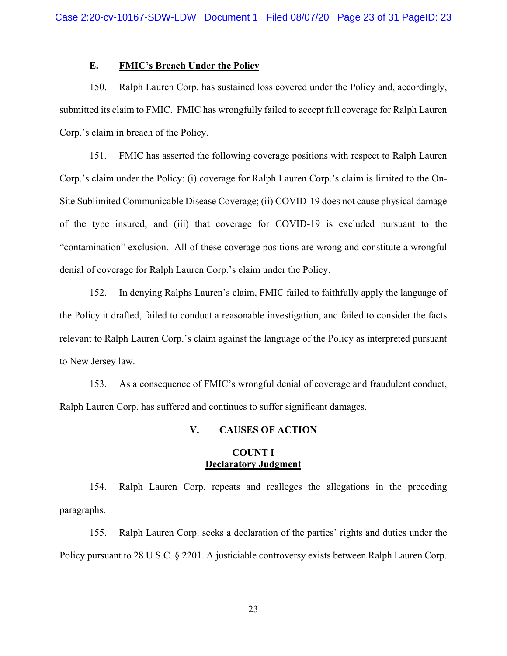# **E. FMIC's Breach Under the Policy**

150. Ralph Lauren Corp. has sustained loss covered under the Policy and, accordingly, submitted its claim to FMIC. FMIC has wrongfully failed to accept full coverage for Ralph Lauren Corp.'s claim in breach of the Policy.

151. FMIC has asserted the following coverage positions with respect to Ralph Lauren Corp.'s claim under the Policy: (i) coverage for Ralph Lauren Corp.'s claim is limited to the On-Site Sublimited Communicable Disease Coverage; (ii) COVID-19 does not cause physical damage of the type insured; and (iii) that coverage for COVID-19 is excluded pursuant to the "contamination" exclusion. All of these coverage positions are wrong and constitute a wrongful denial of coverage for Ralph Lauren Corp.'s claim under the Policy.

152. In denying Ralphs Lauren's claim, FMIC failed to faithfully apply the language of the Policy it drafted, failed to conduct a reasonable investigation, and failed to consider the facts relevant to Ralph Lauren Corp.'s claim against the language of the Policy as interpreted pursuant to New Jersey law.

153. As a consequence of FMIC's wrongful denial of coverage and fraudulent conduct, Ralph Lauren Corp. has suffered and continues to suffer significant damages.

### **V. CAUSES OF ACTION**

### **COUNT I Declaratory Judgment**

154. Ralph Lauren Corp. repeats and realleges the allegations in the preceding paragraphs.

155. Ralph Lauren Corp. seeks a declaration of the parties' rights and duties under the Policy pursuant to 28 U.S.C. § 2201. A justiciable controversy exists between Ralph Lauren Corp.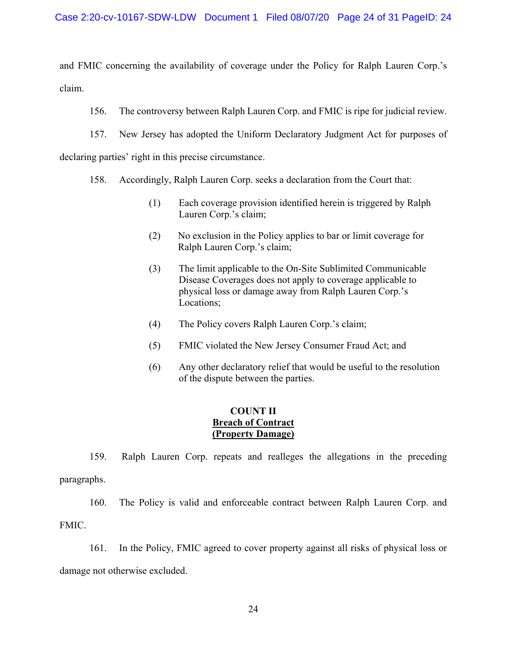and FMIC concerning the availability of coverage under the Policy for Ralph Lauren Corp.'s claim.

156. The controversy between Ralph Lauren Corp. and FMIC is ripe for judicial review.

157. New Jersey has adopted the Uniform Declaratory Judgment Act for purposes of

declaring parties' right in this precise circumstance.

- 158. Accordingly, Ralph Lauren Corp. seeks a declaration from the Court that:
	- (1) Each coverage provision identified herein is triggered by Ralph Lauren Corp.'s claim;
	- (2) No exclusion in the Policy applies to bar or limit coverage for Ralph Lauren Corp.'s claim;
	- (3) The limit applicable to the On-Site Sublimited Communicable Disease Coverages does not apply to coverage applicable to physical loss or damage away from Ralph Lauren Corp.'s Locations;
	- (4) The Policy covers Ralph Lauren Corp.'s claim;
	- (5) FMIC violated the New Jersey Consumer Fraud Act; and
	- (6) Any other declaratory relief that would be useful to the resolution of the dispute between the parties.

# **COUNT II Breach of Contract (Property Damage)**

159. Ralph Lauren Corp. repeats and realleges the allegations in the preceding paragraphs.

160. The Policy is valid and enforceable contract between Ralph Lauren Corp. and FMIC.

161. In the Policy, FMIC agreed to cover property against all risks of physical loss or damage not otherwise excluded.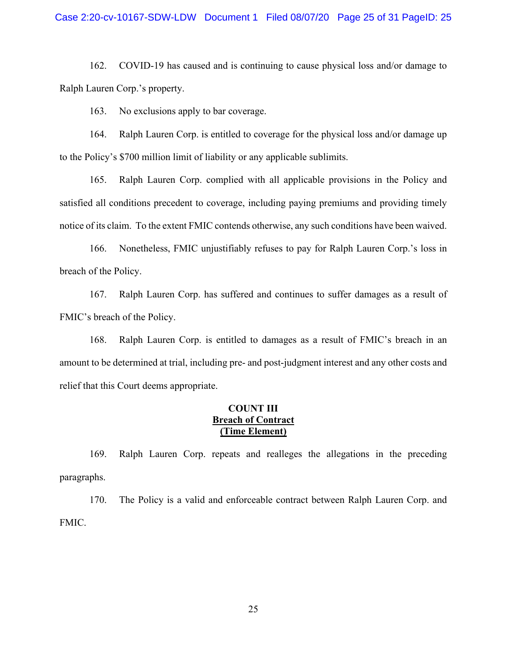162. COVID-19 has caused and is continuing to cause physical loss and/or damage to Ralph Lauren Corp.'s property.

163. No exclusions apply to bar coverage.

164. Ralph Lauren Corp. is entitled to coverage for the physical loss and/or damage up to the Policy's \$700 million limit of liability or any applicable sublimits.

165. Ralph Lauren Corp. complied with all applicable provisions in the Policy and satisfied all conditions precedent to coverage, including paying premiums and providing timely notice of its claim. To the extent FMIC contends otherwise, any such conditions have been waived.

166. Nonetheless, FMIC unjustifiably refuses to pay for Ralph Lauren Corp.'s loss in breach of the Policy.

167. Ralph Lauren Corp. has suffered and continues to suffer damages as a result of FMIC's breach of the Policy.

168. Ralph Lauren Corp. is entitled to damages as a result of FMIC's breach in an amount to be determined at trial, including pre- and post-judgment interest and any other costs and relief that this Court deems appropriate.

# **COUNT III Breach of Contract (Time Element)**

169. Ralph Lauren Corp. repeats and realleges the allegations in the preceding paragraphs.

170. The Policy is a valid and enforceable contract between Ralph Lauren Corp. and FMIC.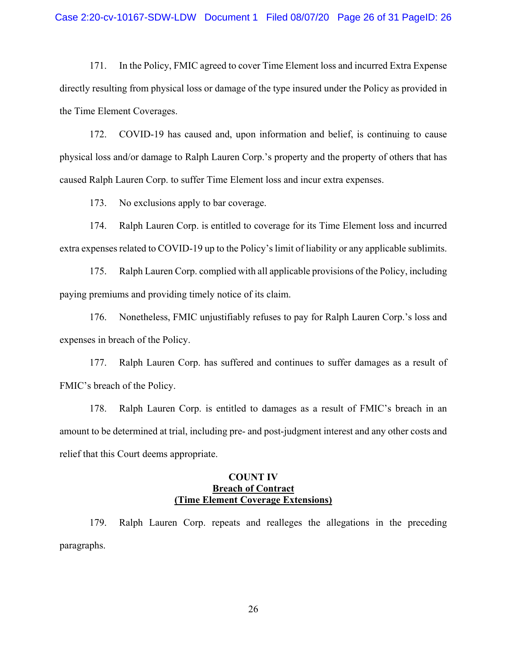#### Case 2:20-cv-10167-SDW-LDW Document 1 Filed 08/07/20 Page 26 of 31 PageID: 26

171. In the Policy, FMIC agreed to cover Time Element loss and incurred Extra Expense directly resulting from physical loss or damage of the type insured under the Policy as provided in the Time Element Coverages.

172. COVID-19 has caused and, upon information and belief, is continuing to cause physical loss and/or damage to Ralph Lauren Corp.'s property and the property of others that has caused Ralph Lauren Corp. to suffer Time Element loss and incur extra expenses.

173. No exclusions apply to bar coverage.

174. Ralph Lauren Corp. is entitled to coverage for its Time Element loss and incurred extra expenses related to COVID-19 up to the Policy's limit of liability or any applicable sublimits.

175. Ralph Lauren Corp. complied with all applicable provisions of the Policy, including paying premiums and providing timely notice of its claim.

176. Nonetheless, FMIC unjustifiably refuses to pay for Ralph Lauren Corp.'s loss and expenses in breach of the Policy.

177. Ralph Lauren Corp. has suffered and continues to suffer damages as a result of FMIC's breach of the Policy.

178. Ralph Lauren Corp. is entitled to damages as a result of FMIC's breach in an amount to be determined at trial, including pre- and post-judgment interest and any other costs and relief that this Court deems appropriate.

# **COUNT IV Breach of Contract (Time Element Coverage Extensions)**

179. Ralph Lauren Corp. repeats and realleges the allegations in the preceding paragraphs.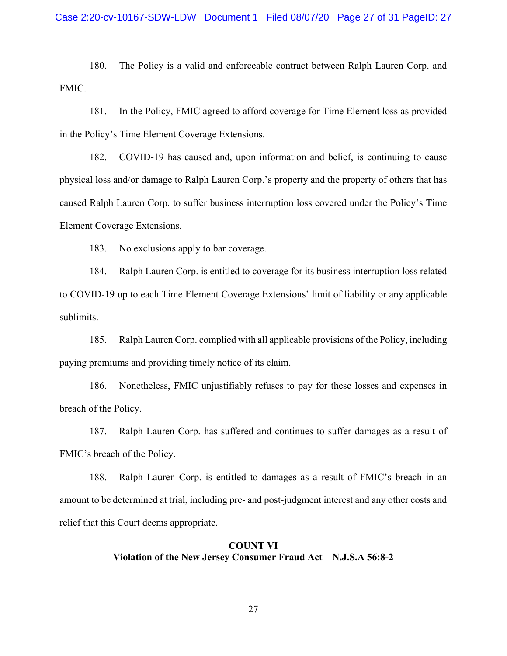180. The Policy is a valid and enforceable contract between Ralph Lauren Corp. and FMIC.

181. In the Policy, FMIC agreed to afford coverage for Time Element loss as provided in the Policy's Time Element Coverage Extensions.

182. COVID-19 has caused and, upon information and belief, is continuing to cause physical loss and/or damage to Ralph Lauren Corp.'s property and the property of others that has caused Ralph Lauren Corp. to suffer business interruption loss covered under the Policy's Time Element Coverage Extensions.

183. No exclusions apply to bar coverage.

184. Ralph Lauren Corp. is entitled to coverage for its business interruption loss related to COVID-19 up to each Time Element Coverage Extensions' limit of liability or any applicable sublimits.

185. Ralph Lauren Corp. complied with all applicable provisions of the Policy, including paying premiums and providing timely notice of its claim.

186. Nonetheless, FMIC unjustifiably refuses to pay for these losses and expenses in breach of the Policy.

187. Ralph Lauren Corp. has suffered and continues to suffer damages as a result of FMIC's breach of the Policy.

188. Ralph Lauren Corp. is entitled to damages as a result of FMIC's breach in an amount to be determined at trial, including pre- and post-judgment interest and any other costs and relief that this Court deems appropriate.

# **COUNT VI Violation of the New Jersey Consumer Fraud Act – N.J.S.A 56:8-2**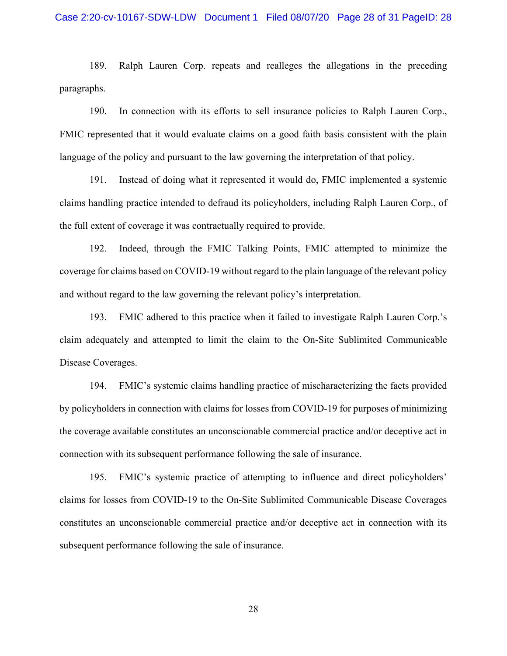189. Ralph Lauren Corp. repeats and realleges the allegations in the preceding paragraphs.

190. In connection with its efforts to sell insurance policies to Ralph Lauren Corp., FMIC represented that it would evaluate claims on a good faith basis consistent with the plain language of the policy and pursuant to the law governing the interpretation of that policy.

191. Instead of doing what it represented it would do, FMIC implemented a systemic claims handling practice intended to defraud its policyholders, including Ralph Lauren Corp., of the full extent of coverage it was contractually required to provide.

192. Indeed, through the FMIC Talking Points, FMIC attempted to minimize the coverage for claims based on COVID-19 without regard to the plain language of the relevant policy and without regard to the law governing the relevant policy's interpretation.

193. FMIC adhered to this practice when it failed to investigate Ralph Lauren Corp.'s claim adequately and attempted to limit the claim to the On-Site Sublimited Communicable Disease Coverages.

194. FMIC's systemic claims handling practice of mischaracterizing the facts provided by policyholders in connection with claims for losses from COVID-19 for purposes of minimizing the coverage available constitutes an unconscionable commercial practice and/or deceptive act in connection with its subsequent performance following the sale of insurance.

195. FMIC's systemic practice of attempting to influence and direct policyholders' claims for losses from COVID-19 to the On-Site Sublimited Communicable Disease Coverages constitutes an unconscionable commercial practice and/or deceptive act in connection with its subsequent performance following the sale of insurance.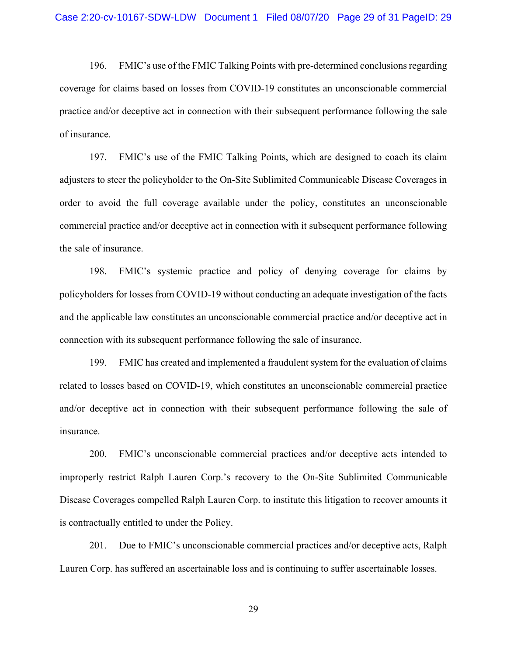196. FMIC's use of the FMIC Talking Points with pre-determined conclusions regarding coverage for claims based on losses from COVID-19 constitutes an unconscionable commercial practice and/or deceptive act in connection with their subsequent performance following the sale of insurance.

197. FMIC's use of the FMIC Talking Points, which are designed to coach its claim adjusters to steer the policyholder to the On-Site Sublimited Communicable Disease Coverages in order to avoid the full coverage available under the policy, constitutes an unconscionable commercial practice and/or deceptive act in connection with it subsequent performance following the sale of insurance.

198. FMIC's systemic practice and policy of denying coverage for claims by policyholders for losses from COVID-19 without conducting an adequate investigation of the facts and the applicable law constitutes an unconscionable commercial practice and/or deceptive act in connection with its subsequent performance following the sale of insurance.

199. FMIC has created and implemented a fraudulent system for the evaluation of claims related to losses based on COVID-19, which constitutes an unconscionable commercial practice and/or deceptive act in connection with their subsequent performance following the sale of insurance.

200. FMIC's unconscionable commercial practices and/or deceptive acts intended to improperly restrict Ralph Lauren Corp.'s recovery to the On-Site Sublimited Communicable Disease Coverages compelled Ralph Lauren Corp. to institute this litigation to recover amounts it is contractually entitled to under the Policy.

201. Due to FMIC's unconscionable commercial practices and/or deceptive acts, Ralph Lauren Corp. has suffered an ascertainable loss and is continuing to suffer ascertainable losses.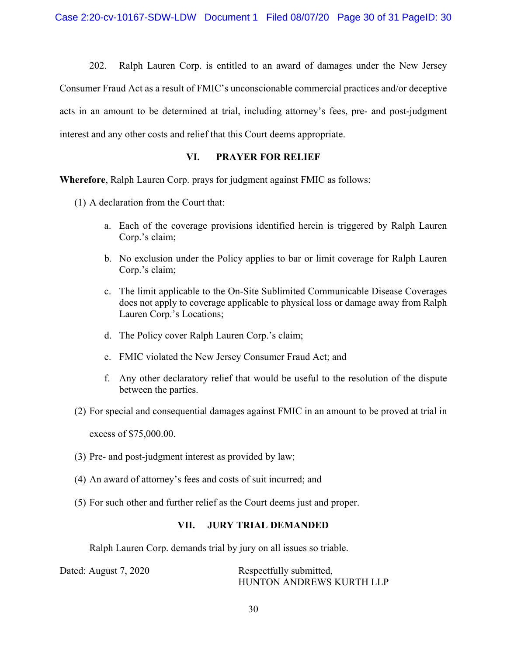202. Ralph Lauren Corp. is entitled to an award of damages under the New Jersey Consumer Fraud Act as a result of FMIC's unconscionable commercial practices and/or deceptive acts in an amount to be determined at trial, including attorney's fees, pre- and post-judgment interest and any other costs and relief that this Court deems appropriate.

# **VI. PRAYER FOR RELIEF**

**Wherefore**, Ralph Lauren Corp. prays for judgment against FMIC as follows:

(1) A declaration from the Court that:

- a. Each of the coverage provisions identified herein is triggered by Ralph Lauren Corp.'s claim;
- b. No exclusion under the Policy applies to bar or limit coverage for Ralph Lauren Corp.'s claim;
- c. The limit applicable to the On-Site Sublimited Communicable Disease Coverages does not apply to coverage applicable to physical loss or damage away from Ralph Lauren Corp.'s Locations;
- d. The Policy cover Ralph Lauren Corp.'s claim;
- e. FMIC violated the New Jersey Consumer Fraud Act; and
- f. Any other declaratory relief that would be useful to the resolution of the dispute between the parties.
- (2) For special and consequential damages against FMIC in an amount to be proved at trial in

excess of \$75,000.00.

- (3) Pre- and post-judgment interest as provided by law;
- (4) An award of attorney's fees and costs of suit incurred; and
- (5) For such other and further relief as the Court deems just and proper.

# **VII. JURY TRIAL DEMANDED**

Ralph Lauren Corp. demands trial by jury on all issues so triable.

| Dated: August 7, 2020 | Respectfully submitted,  |
|-----------------------|--------------------------|
|                       | HUNTON ANDREWS KURTH LLP |